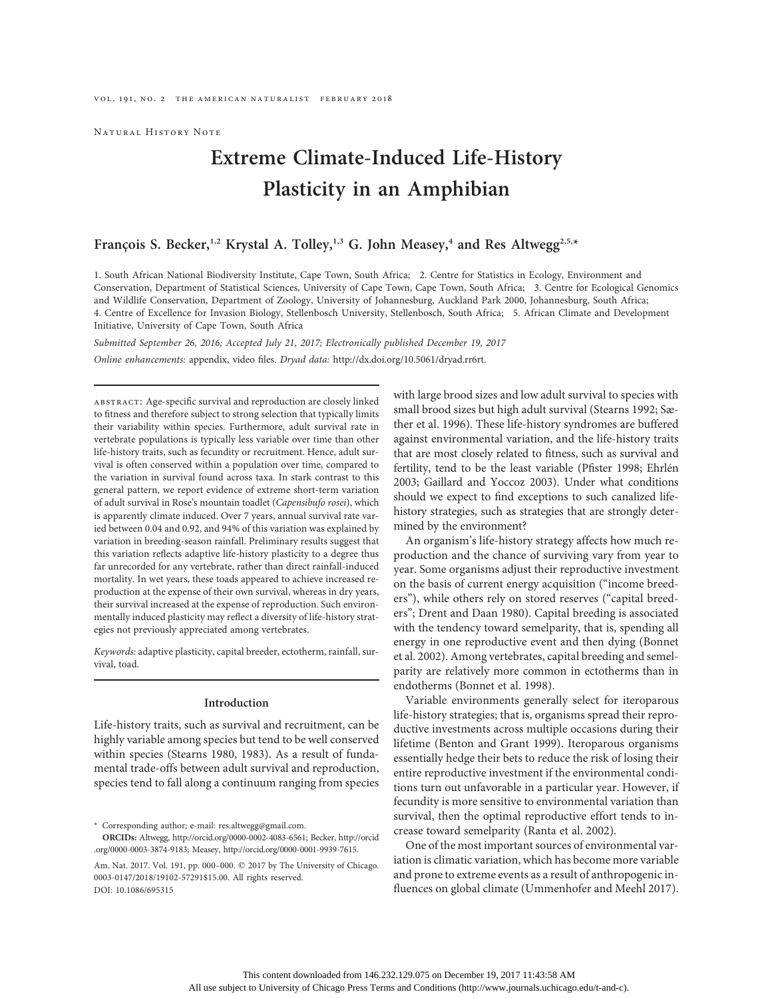Natural History Note

# Extreme Climate-Induced Life-History Plasticity in an Amphibian

# François S. Becker,<sup>1,2</sup> Krystal A. Tolley,<sup>1,3</sup> G. John Measey,<sup>4</sup> and Res Altwegg<sup>2,5,\*</sup>

1. South African National Biodiversity Institute, Cape Town, South Africa; 2. Centre for Statistics in Ecology, Environment and Conservation, Department of Statistical Sciences, University of Cape Town, Cape Town, South Africa; 3. Centre for Ecological Genomics and Wildlife Conservation, Department of Zoology, University of Johannesburg, Auckland Park 2000, Johannesburg, South Africa; 4. Centre of Excellence for Invasion Biology, Stellenbosch University, Stellenbosch, South Africa; 5. African Climate and Development Initiative, University of Cape Town, South Africa

Submitted September 26, 2016; Accepted July 21, 2017; Electronically published December 19, 2017 Online enhancements: appendix, video files. Dryad data: http://dx.doi.org/10.5061/dryad.rr6rt.

abstract: Age-specific survival and reproduction are closely linked to fitness and therefore subject to strong selection that typically limits their variability within species. Furthermore, adult survival rate in vertebrate populations is typically less variable over time than other life-history traits, such as fecundity or recruitment. Hence, adult survival is often conserved within a population over time, compared to the variation in survival found across taxa. In stark contrast to this general pattern, we report evidence of extreme short-term variation of adult survival in Rose's mountain toadlet (Capensibufo rosei), which is apparently climate induced. Over 7 years, annual survival rate varied between 0.04 and 0.92, and 94% of this variation was explained by variation in breeding-season rainfall. Preliminary results suggest that this variation reflects adaptive life-history plasticity to a degree thus far unrecorded for any vertebrate, rather than direct rainfall-induced mortality. In wet years, these toads appeared to achieve increased reproduction at the expense of their own survival, whereas in dry years, their survival increased at the expense of reproduction. Such environmentally induced plasticity may reflect a diversity of life-history strategies not previously appreciated among vertebrates.

Keywords: adaptive plasticity, capital breeder, ectotherm, rainfall, survival, toad.

#### Introduction

Life-history traits, such as survival and recruitment, can be highly variable among species but tend to be well conserved within species (Stearns 1980, 1983). As a result of fundamental trade-offs between adult survival and reproduction, species tend to fall along a continuum ranging from species

\* Corresponding author; e-mail: res.altwegg@gmail.com.

ORCIDs: Altwegg, http://orcid.org/0000-0002-4083-6561; Becker, http://orcid .org/0000-0003-3874-9183; Measey, http://orcid.org/0000-0001-9939-7615.

with large brood sizes and low adult survival to species with small brood sizes but high adult survival (Stearns 1992; Sæther et al. 1996). These life-history syndromes are buffered against environmental variation, and the life-history traits that are most closely related to fitness, such as survival and fertility, tend to be the least variable (Pfister 1998; Ehrlén 2003; Gaillard and Yoccoz 2003). Under what conditions should we expect to find exceptions to such canalized lifehistory strategies, such as strategies that are strongly determined by the environment?

An organism's life-history strategy affects how much reproduction and the chance of surviving vary from year to year. Some organisms adjust their reproductive investment on the basis of current energy acquisition ("income breeders"), while others rely on stored reserves ("capital breeders"; Drent and Daan 1980). Capital breeding is associated with the tendency toward semelparity, that is, spending all energy in one reproductive event and then dying (Bonnet et al. 2002). Among vertebrates, capital breeding and semelparity are relatively more common in ectotherms than in endotherms (Bonnet et al. 1998).

Variable environments generally select for iteroparous life-history strategies; that is, organisms spread their reproductive investments across multiple occasions during their lifetime (Benton and Grant 1999). Iteroparous organisms essentially hedge their bets to reduce the risk of losing their entire reproductive investment if the environmental conditions turn out unfavorable in a particular year. However, if fecundity is more sensitive to environmental variation than survival, then the optimal reproductive effort tends to increase toward semelparity (Ranta et al. 2002).

One of the most important sources of environmental variation is climatic variation, which has become more variable and prone to extreme events as a result of anthropogenic influences on global climate (Ummenhofer and Meehl 2017).

Am. Nat. 2017. Vol. 191, pp. 000–000.  $\odot$  2017 by The University of Chicago. 0003-0147/2018/19102-57291\$15.00. All rights reserved. DOI: 10.1086/695315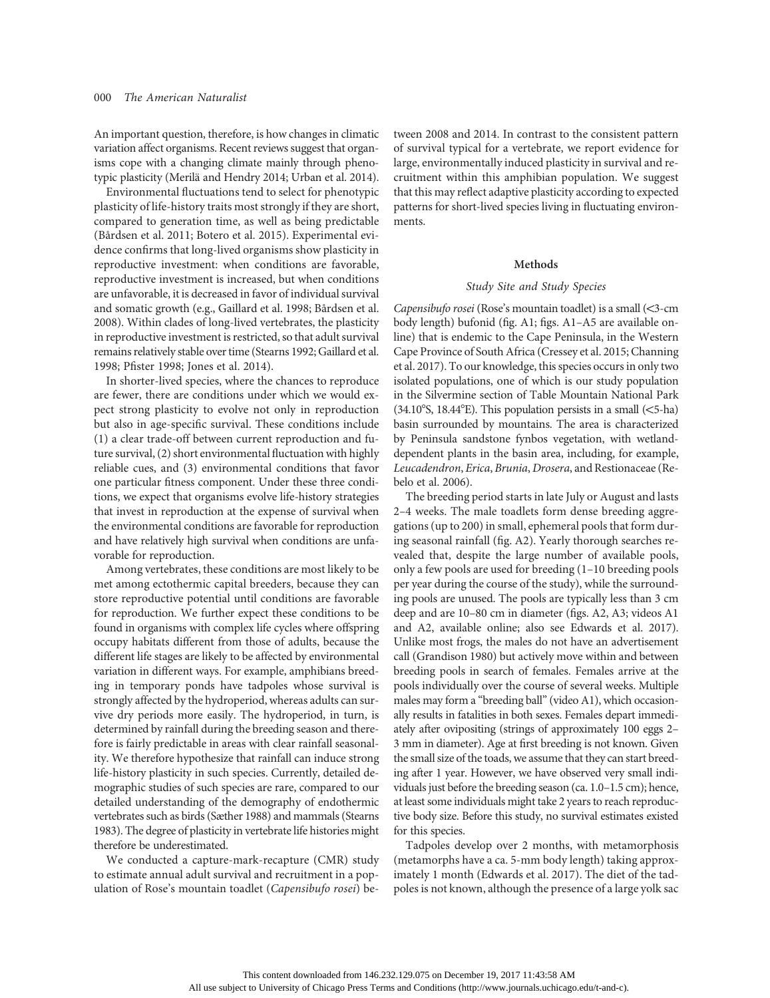An important question, therefore, is how changes in climatic variation affect organisms. Recent reviews suggest that organisms cope with a changing climate mainly through phenotypic plasticity (Merilä and Hendry 2014; Urban et al. 2014).

Environmental fluctuations tend to select for phenotypic plasticity of life-history traits most strongly if they are short, compared to generation time, as well as being predictable (Bårdsen et al. 2011; Botero et al. 2015). Experimental evidence confirms that long-lived organisms show plasticity in reproductive investment: when conditions are favorable, reproductive investment is increased, but when conditions are unfavorable, it is decreased in favor of individual survival and somatic growth (e.g., Gaillard et al. 1998; Bårdsen et al. 2008). Within clades of long-lived vertebrates, the plasticity in reproductive investment is restricted, so that adult survival remains relatively stable over time (Stearns 1992; Gaillard et al. 1998; Pfister 1998; Jones et al. 2014).

In shorter-lived species, where the chances to reproduce are fewer, there are conditions under which we would expect strong plasticity to evolve not only in reproduction but also in age-specific survival. These conditions include (1) a clear trade-off between current reproduction and future survival, (2) short environmental fluctuation with highly reliable cues, and (3) environmental conditions that favor one particular fitness component. Under these three conditions, we expect that organisms evolve life-history strategies that invest in reproduction at the expense of survival when the environmental conditions are favorable for reproduction and have relatively high survival when conditions are unfavorable for reproduction.

Among vertebrates, these conditions are most likely to be met among ectothermic capital breeders, because they can store reproductive potential until conditions are favorable for reproduction. We further expect these conditions to be found in organisms with complex life cycles where offspring occupy habitats different from those of adults, because the different life stages are likely to be affected by environmental variation in different ways. For example, amphibians breeding in temporary ponds have tadpoles whose survival is strongly affected by the hydroperiod, whereas adults can survive dry periods more easily. The hydroperiod, in turn, is determined by rainfall during the breeding season and therefore is fairly predictable in areas with clear rainfall seasonality. We therefore hypothesize that rainfall can induce strong life-history plasticity in such species. Currently, detailed demographic studies of such species are rare, compared to our detailed understanding of the demography of endothermic vertebrates such as birds (Sæther 1988) and mammals (Stearns 1983). The degree of plasticity in vertebrate life histories might therefore be underestimated.

We conducted a capture-mark-recapture (CMR) study to estimate annual adult survival and recruitment in a population of Rose's mountain toadlet (Capensibufo rosei) between 2008 and 2014. In contrast to the consistent pattern of survival typical for a vertebrate, we report evidence for large, environmentally induced plasticity in survival and recruitment within this amphibian population. We suggest that this may reflect adaptive plasticity according to expected patterns for short-lived species living in fluctuating environments.

## Methods

# Study Site and Study Species

Capensibufo rosei (Rose's mountain toadlet) is a small  $\leq$ 3-cm body length) bufonid (fig. A1; figs. A1-A5 are available online) that is endemic to the Cape Peninsula, in the Western Cape Province of South Africa (Cressey et al. 2015; Channing et al. 2017). To our knowledge, this species occurs in only two isolated populations, one of which is our study population in the Silvermine section of Table Mountain National Park  $(34.10^{\circ}S, 18.44^{\circ}E)$ . This population persists in a small  $(**5**-ha)$ basin surrounded by mountains. The area is characterized by Peninsula sandstone fynbos vegetation, with wetlanddependent plants in the basin area, including, for example, Leucadendron, Erica, Brunia, Drosera, and Restionaceae (Rebelo et al. 2006).

The breeding period starts in late July or August and lasts 2–4 weeks. The male toadlets form dense breeding aggregations (up to 200) in small, ephemeral pools that form during seasonal rainfall (fig. A2). Yearly thorough searches revealed that, despite the large number of available pools, only a few pools are used for breeding (1–10 breeding pools per year during the course of the study), while the surrounding pools are unused. The pools are typically less than 3 cm deep and are 10–80 cm in diameter (figs. A2, A3; videos A1 and A2, available online; also see Edwards et al. 2017). Unlike most frogs, the males do not have an advertisement call (Grandison 1980) but actively move within and between breeding pools in search of females. Females arrive at the pools individually over the course of several weeks. Multiple males may form a "breeding ball"(video A1), which occasionally results in fatalities in both sexes. Females depart immediately after ovipositing (strings of approximately 100 eggs 2– 3 mm in diameter). Age at first breeding is not known. Given the small size of the toads, we assume that they can start breeding after 1 year. However, we have observed very small individuals just before the breeding season (ca. 1.0–1.5 cm); hence, at least some individuals might take 2 years to reach reproductive body size. Before this study, no survival estimates existed for this species.

Tadpoles develop over 2 months, with metamorphosis (metamorphs have a ca. 5-mm body length) taking approximately 1 month (Edwards et al. 2017). The diet of the tadpoles is not known, although the presence of a large yolk sac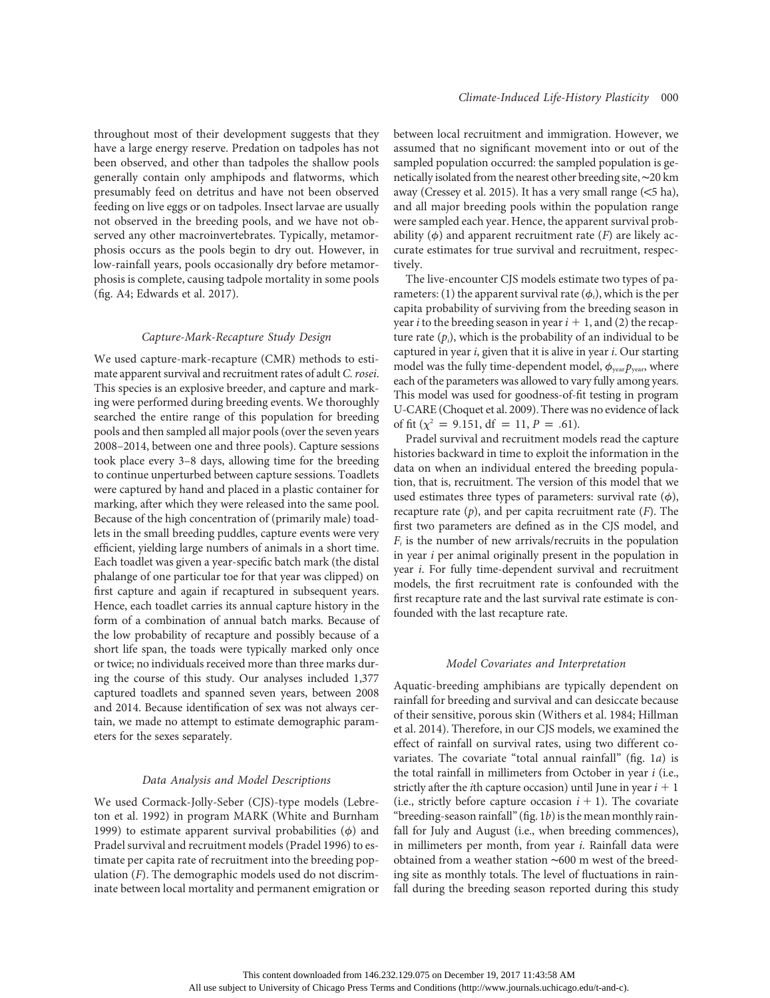throughout most of their development suggests that they have a large energy reserve. Predation on tadpoles has not been observed, and other than tadpoles the shallow pools generally contain only amphipods and flatworms, which presumably feed on detritus and have not been observed feeding on live eggs or on tadpoles. Insect larvae are usually not observed in the breeding pools, and we have not observed any other macroinvertebrates. Typically, metamorphosis occurs as the pools begin to dry out. However, in low-rainfall years, pools occasionally dry before metamorphosis is complete, causing tadpole mortality in some pools (fig. A4; Edwards et al. 2017).

## Capture-Mark-Recapture Study Design

We used capture-mark-recapture (CMR) methods to estimate apparent survival and recruitment rates of adult C. rosei. This species is an explosive breeder, and capture and marking were performed during breeding events. We thoroughly searched the entire range of this population for breeding pools and then sampled all major pools (over the seven years 2008–2014, between one and three pools). Capture sessions took place every 3–8 days, allowing time for the breeding to continue unperturbed between capture sessions. Toadlets were captured by hand and placed in a plastic container for marking, after which they were released into the same pool. Because of the high concentration of (primarily male) toadlets in the small breeding puddles, capture events were very efficient, yielding large numbers of animals in a short time. Each toadlet was given a year-specific batch mark (the distal phalange of one particular toe for that year was clipped) on first capture and again if recaptured in subsequent years. Hence, each toadlet carries its annual capture history in the form of a combination of annual batch marks. Because of the low probability of recapture and possibly because of a short life span, the toads were typically marked only once or twice; no individuals received more than three marks during the course of this study. Our analyses included 1,377 captured toadlets and spanned seven years, between 2008 and 2014. Because identification of sex was not always certain, we made no attempt to estimate demographic parameters for the sexes separately.

#### Data Analysis and Model Descriptions

We used Cormack-Jolly-Seber (CJS)-type models (Lebreton et al. 1992) in program MARK (White and Burnham 1999) to estimate apparent survival probabilities  $(\phi)$  and Pradel survival and recruitment models (Pradel 1996) to estimate per capita rate of recruitment into the breeding population  $(F)$ . The demographic models used do not discriminate between local mortality and permanent emigration or between local recruitment and immigration. However, we assumed that no significant movement into or out of the sampled population occurred: the sampled population is genetically isolated from the nearest other breeding site, ∼20 km away (Cressey et al. 2015). It has a very small range  $(<5$  ha), and all major breeding pools within the population range were sampled each year. Hence, the apparent survival probability  $(\phi)$  and apparent recruitment rate  $(F)$  are likely accurate estimates for true survival and recruitment, respectively.

The live-encounter CJS models estimate two types of parameters: (1) the apparent survival rate ( $\phi_i$ ), which is the per capita probability of surviving from the breeding season in year *i* to the breeding season in year  $i + 1$ , and (2) the recapture rate  $(p_i)$ , which is the probability of an individual to be captured in year i, given that it is alive in year i. Our starting model was the fully time-dependent model,  $\phi_{\text{year}} p_{\text{year}}$ , where each of the parameters was allowed to vary fully among years. This model was used for goodness-of-fit testing in program U-CARE (Choquet et al. 2009). There was no evidence of lack of fit  $(\chi^2 = 9.151, df = 11, P = .61).$ 

Pradel survival and recruitment models read the capture histories backward in time to exploit the information in the data on when an individual entered the breeding population, that is, recruitment. The version of this model that we used estimates three types of parameters: survival rate  $(\phi)$ , recapture rate  $(p)$ , and per capita recruitment rate  $(F)$ . The first two parameters are defined as in the CJS model, and  $F_i$  is the number of new arrivals/recruits in the population in year  $i$  per animal originally present in the population in year i. For fully time-dependent survival and recruitment models, the first recruitment rate is confounded with the first recapture rate and the last survival rate estimate is confounded with the last recapture rate.

#### Model Covariates and Interpretation

Aquatic-breeding amphibians are typically dependent on rainfall for breeding and survival and can desiccate because of their sensitive, porous skin (Withers et al. 1984; Hillman et al. 2014). Therefore, in our CJS models, we examined the effect of rainfall on survival rates, using two different covariates. The covariate "total annual rainfall" (fig. 1a) is the total rainfall in millimeters from October in year i (i.e., strictly after the *i*th capture occasion) until June in year  $i + 1$ (i.e., strictly before capture occasion  $i + 1$ ). The covariate "breeding-season rainfall"(fig. 1b) is the mean monthly rainfall for July and August (i.e., when breeding commences), in millimeters per month, from year i. Rainfall data were obtained from a weather station ∼600 m west of the breeding site as monthly totals. The level of fluctuations in rainfall during the breeding season reported during this study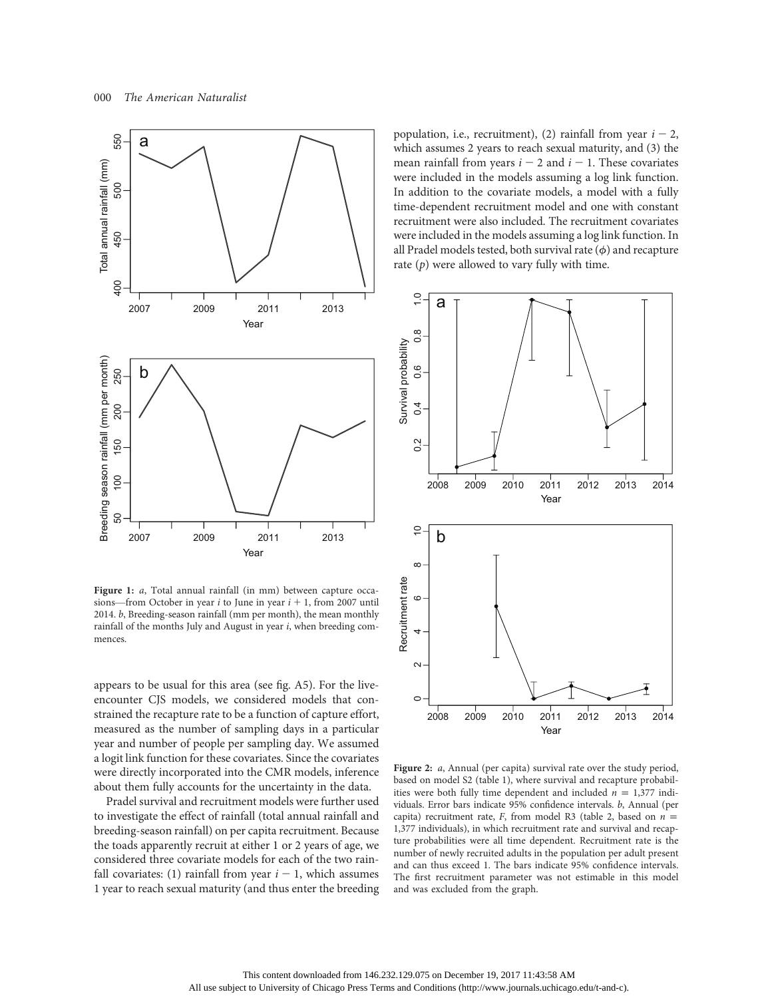

Figure 1: *a*, Total annual rainfall (in mm) between capture occasions—from October in year  $i$  to June in year  $i + 1$ , from 2007 until 2014. b, Breeding-season rainfall (mm per month), the mean monthly rainfall of the months July and August in year i, when breeding commences.

appears to be usual for this area (see fig. A5). For the liveencounter CJS models, we considered models that constrained the recapture rate to be a function of capture effort, measured as the number of sampling days in a particular year and number of people per sampling day. We assumed a logit link function for these covariates. Since the covariates were directly incorporated into the CMR models, inference about them fully accounts for the uncertainty in the data.

Pradel survival and recruitment models were further used to investigate the effect of rainfall (total annual rainfall and breeding-season rainfall) on per capita recruitment. Because the toads apparently recruit at either 1 or 2 years of age, we considered three covariate models for each of the two rainfall covariates: (1) rainfall from year  $i - 1$ , which assumes 1 year to reach sexual maturity (and thus enter the breeding population, i.e., recruitment), (2) rainfall from year  $i - 2$ , which assumes 2 years to reach sexual maturity, and (3) the mean rainfall from years  $i - 2$  and  $i - 1$ . These covariates were included in the models assuming a log link function. In addition to the covariate models, a model with a fully time-dependent recruitment model and one with constant recruitment were also included. The recruitment covariates were included in the models assuming a log link function. In all Pradel models tested, both survival rate  $(\phi)$  and recapture rate  $(p)$  were allowed to vary fully with time.



Figure 2: *a*, Annual (per capita) survival rate over the study period, based on model S2 (table 1), where survival and recapture probabilities were both fully time dependent and included  $n = 1,377$  individuals. Error bars indicate 95% confidence intervals. b, Annual (per capita) recruitment rate, F, from model R3 (table 2, based on  $n =$ 1,377 individuals), in which recruitment rate and survival and recapture probabilities were all time dependent. Recruitment rate is the number of newly recruited adults in the population per adult present and can thus exceed 1. The bars indicate 95% confidence intervals. The first recruitment parameter was not estimable in this model and was excluded from the graph.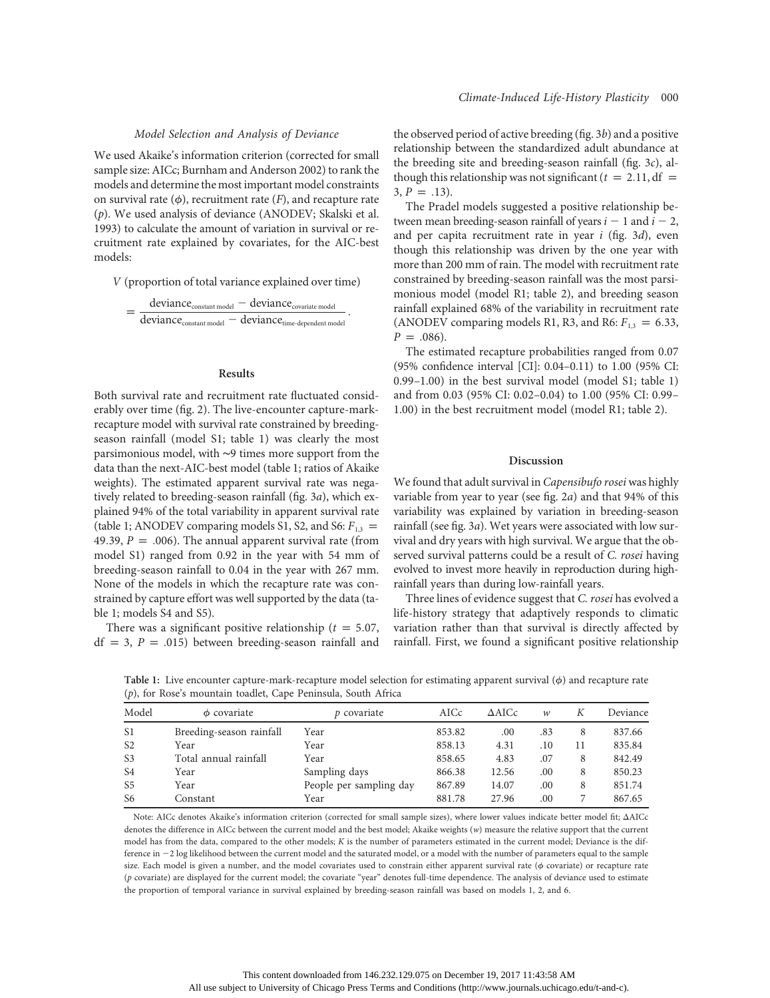#### Model Selection and Analysis of Deviance

We used Akaike's information criterion (corrected for small sample size: AICc; Burnham and Anderson 2002) to rank the models and determine the most important model constraints on survival rate  $(\phi)$ , recruitment rate  $(F)$ , and recapture rate (p). We used analysis of deviance (ANODEV; Skalski et al. 1993) to calculate the amount of variation in survival or recruitment rate explained by covariates, for the AIC-best models:

V (proportion of total variance explained over time)

$$
= \frac{deviance_{\text{constant model}} - deviance_{\text{covariate model}}}{deviance_{\text{constant model}} - deviance_{\text{time-dependent model}}}\,.
$$

#### Results

Both survival rate and recruitment rate fluctuated considerably over time (fig. 2). The live-encounter capture-markrecapture model with survival rate constrained by breedingseason rainfall (model S1; table 1) was clearly the most parsimonious model, with ∼9 times more support from the data than the next-AIC-best model (table 1; ratios of Akaike weights). The estimated apparent survival rate was negatively related to breeding-season rainfall (fig. 3a), which explained 94% of the total variability in apparent survival rate (table 1; ANODEV comparing models S1, S2, and S6:  $F_{1,3}$  = 49.39,  $P = .006$ ). The annual apparent survival rate (from model S1) ranged from 0.92 in the year with 54 mm of breeding-season rainfall to 0.04 in the year with 267 mm. None of the models in which the recapture rate was constrained by capture effort was well supported by the data (table 1; models S4 and S5).

There was a significant positive relationship ( $t = 5.07$ ,  $df = 3$ ,  $P = .015$ ) between breeding-season rainfall and the observed period of active breeding (fig. 3b) and a positive relationship between the standardized adult abundance at the breeding site and breeding-season rainfall (fig. 3c), although this relationship was not significant ( $t = 2.11$ , df =  $3, P = .13$ .

The Pradel models suggested a positive relationship between mean breeding-season rainfall of years  $i - 1$  and  $i - 2$ , and per capita recruitment rate in year  $i$  (fig. 3d), even though this relationship was driven by the one year with more than 200 mm of rain. The model with recruitment rate constrained by breeding-season rainfall was the most parsimonious model (model R1; table 2), and breeding season rainfall explained 68% of the variability in recruitment rate (ANODEV comparing models R1, R3, and R6:  $F_{1,3} = 6.33$ ,  $P = .086$ ).

The estimated recapture probabilities ranged from 0.07 (95% confidence interval [CI]: 0.04–0.11) to 1.00 (95% CI: 0.99–1.00) in the best survival model (model S1; table 1) and from 0.03 (95% CI: 0.02–0.04) to 1.00 (95% CI: 0.99– 1.00) in the best recruitment model (model R1; table 2).

#### Discussion

We found that adult survival in Capensibufo rosei was highly variable from year to year (see fig. 2a) and that 94% of this variability was explained by variation in breeding-season rainfall (see fig. 3a). Wet years were associated with low survival and dry years with high survival. We argue that the observed survival patterns could be a result of C. rosei having evolved to invest more heavily in reproduction during highrainfall years than during low-rainfall years.

Three lines of evidence suggest that C. rosei has evolved a life-history strategy that adaptively responds to climatic variation rather than that survival is directly affected by rainfall. First, we found a significant positive relationship

Model  $\phi$  covariate  $\rho$  covariate  $\phi$  AICc  $\phi$  Deviance S1 Breeding-season rainfall Year 853.82 .00 .83 8 837.66 S2 Year Year 858.13 4.31 .10 11 835.84 S3 Total annual rainfall Year 858.65 4.83 .07 8 842.49 S4 Year Sampling days 866.38 12.56 .00 8 850.23<br>S5 Year People per sampling day 867.89 14.07 .00 8 851.74 Year **People per sampling day 867.89** 14.07 .00 8 851.74 S6 Constant Year 881.78 27.96 .00 7 867.65

Table 1: Live encounter capture-mark-recapture model selection for estimating apparent survival  $(\phi)$  and recapture rate (p), for Rose's mountain toadlet, Cape Peninsula, South Africa

Note: AICc denotes Akaike's information criterion (corrected for small sample sizes), where lower values indicate better model fit; DAICc denotes the difference in AICc between the current model and the best model; Akaike weights (w) measure the relative support that the current model has from the data, compared to the other models; K is the number of parameters estimated in the current model; Deviance is the difference in 22 log likelihood between the current model and the saturated model, or a model with the number of parameters equal to the sample size. Each model is given a number, and the model covariates used to constrain either apparent survival rate  $(\phi$  covariate) or recapture rate (p covariate) are displayed for the current model; the covariate "year" denotes full-time dependence. The analysis of deviance used to estimate the proportion of temporal variance in survival explained by breeding-season rainfall was based on models 1, 2, and 6.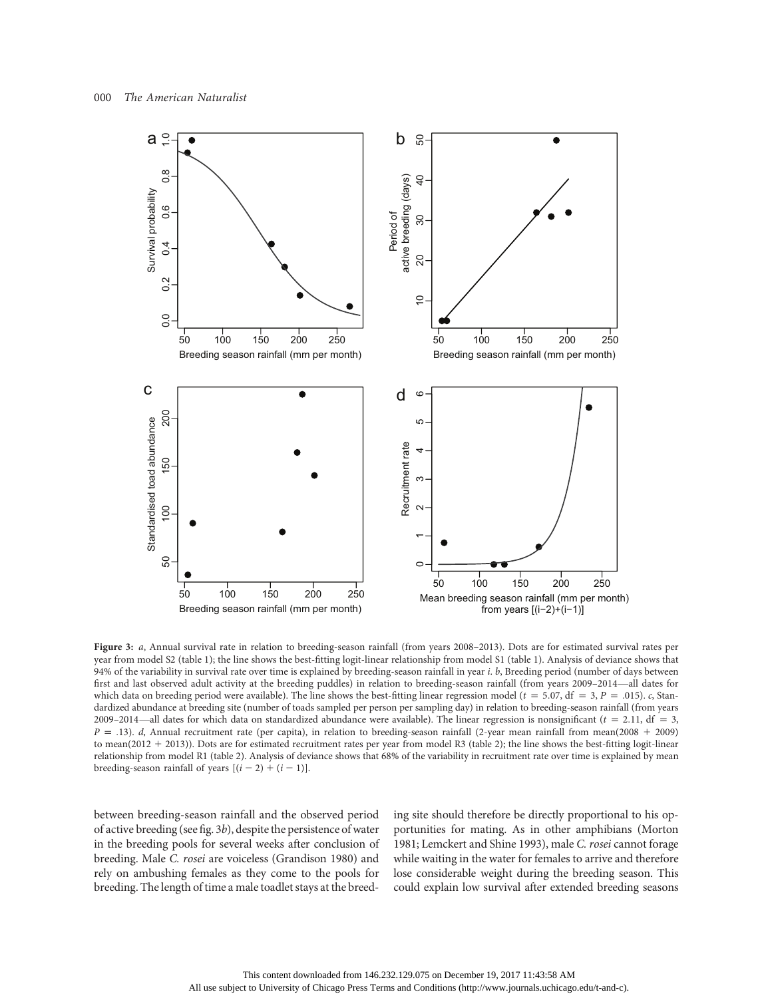

Figure 3: <sup>a</sup>, Annual survival rate in relation to breeding-season rainfall (from years 2008–2013). Dots are for estimated survival rates per year from model S2 (table 1); the line shows the best-fitting logit-linear relationship from model S1 (table 1). Analysis of deviance shows that 94% of the variability in survival rate over time is explained by breeding-season rainfall in year i. b, Breeding period (number of days between first and last observed adult activity at the breeding puddles) in relation to breeding-season rainfall (from years 2009–2014—all dates for which data on breeding period were available). The line shows the best-fitting linear regression model ( $t = 5.07$ , df = 3, P = .015). c, Standardized abundance at breeding site (number of toads sampled per person per sampling day) in relation to breeding-season rainfall (from years 2009–2014—all dates for which data on standardized abundance were available). The linear regression is nonsignificant ( $t = 2.11$ , df = 3,  $P = .13$ ). d, Annual recruitment rate (per capita), in relation to breeding-season rainfall (2-year mean rainfall from mean(2008 + 2009) to mean( $2012 + 2013$ )). Dots are for estimated recruitment rates per year from model R3 (table 2); the line shows the best-fitting logit-linear relationship from model R1 (table 2). Analysis of deviance shows that 68% of the variability in recruitment rate over time is explained by mean breeding-season rainfall of years  $[(i - 2) + (i - 1)].$ 

between breeding-season rainfall and the observed period of active breeding (see fig. 3b), despite the persistence of water in the breeding pools for several weeks after conclusion of breeding. Male C. rosei are voiceless (Grandison 1980) and rely on ambushing females as they come to the pools for breeding. The length of time a male toadlet stays at the breeding site should therefore be directly proportional to his opportunities for mating. As in other amphibians (Morton 1981; Lemckert and Shine 1993), male C. rosei cannot forage while waiting in the water for females to arrive and therefore lose considerable weight during the breeding season. This could explain low survival after extended breeding seasons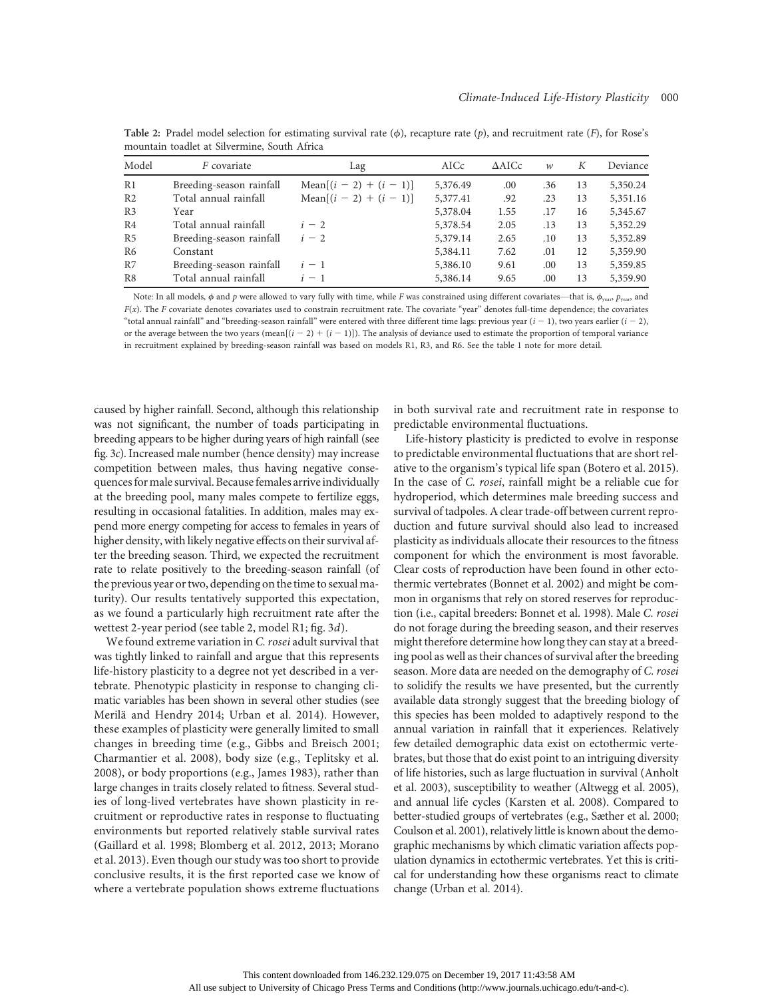| Model          | F covariate              | Lag                    | AICc     | $\triangle$ AICc | $\mathcal{W}$ | К  | Deviance |
|----------------|--------------------------|------------------------|----------|------------------|---------------|----|----------|
| R1             | Breeding-season rainfall | $Mean[(i-2) + (i-1)]$  | 5,376.49 | .00              | .36           | 13 | 5,350.24 |
| R <sub>2</sub> | Total annual rainfall    | Mean $[(i-2) + (i-1)]$ | 5,377.41 | .92              | .23           | 13 | 5,351.16 |
| R <sub>3</sub> | Year                     |                        | 5,378.04 | 1.55             | .17           | 16 | 5,345.67 |
| R <sub>4</sub> | Total annual rainfall    | $i-2$                  | 5,378.54 | 2.05             | .13           | 13 | 5,352.29 |
| R <sub>5</sub> | Breeding-season rainfall | $i-2$                  | 5,379.14 | 2.65             | .10           | 13 | 5,352.89 |
| R6             | Constant                 |                        | 5,384.11 | 7.62             | .01           | 12 | 5,359.90 |
| R7             | Breeding-season rainfall | $i-1$                  | 5,386.10 | 9.61             | .00           | 13 | 5,359.85 |
| R8             | Total annual rainfall    | $i-1$                  | 5,386.14 | 9.65             | .00           | 13 | 5,359.90 |

Table 2: Pradel model selection for estimating survival rate  $(\phi)$ , recapture rate  $(p)$ , and recruitment rate  $(F)$ , for Rose's mountain toadlet at Silvermine, South Africa

Note: In all models,  $\phi$  and p were allowed to vary fully with time, while F was constrained using different covariates—that is,  $\phi_{\text{year}}$ ,  $p_{\text{year}}$ , and  $F(x)$ . The F covariate denotes covariates used to constrain recruitment rate. The covariate "year" denotes full-time dependence; the covariates "total annual rainfall" and "breeding-season rainfall" were entered with three different time lags: previous year  $(i - 1)$ , two years earlier  $(i - 2)$ , or the average between the two years (mean[ $(i - 2) + (i - 1)$ ]). The analysis of deviance used to estimate the proportion of temporal variance in recruitment explained by breeding-season rainfall was based on models R1, R3, and R6. See the table 1 note for more detail.

caused by higher rainfall. Second, although this relationship was not significant, the number of toads participating in breeding appears to be higher during years of high rainfall (see fig. 3c). Increased male number (hence density) may increase competition between males, thus having negative consequences for male survival. Because females arrive individually at the breeding pool, many males compete to fertilize eggs, resulting in occasional fatalities. In addition, males may expend more energy competing for access to females in years of higher density, with likely negative effects on their survival after the breeding season. Third, we expected the recruitment rate to relate positively to the breeding-season rainfall (of the previous year or two, depending on the time to sexual maturity). Our results tentatively supported this expectation, as we found a particularly high recruitment rate after the wettest 2-year period (see table 2, model R1; fig. 3d).

We found extreme variation in C. rosei adult survival that was tightly linked to rainfall and argue that this represents life-history plasticity to a degree not yet described in a vertebrate. Phenotypic plasticity in response to changing climatic variables has been shown in several other studies (see Merilä and Hendry 2014; Urban et al. 2014). However, these examples of plasticity were generally limited to small changes in breeding time (e.g., Gibbs and Breisch 2001; Charmantier et al. 2008), body size (e.g., Teplitsky et al. 2008), or body proportions (e.g., James 1983), rather than large changes in traits closely related to fitness. Several studies of long-lived vertebrates have shown plasticity in recruitment or reproductive rates in response to fluctuating environments but reported relatively stable survival rates (Gaillard et al. 1998; Blomberg et al. 2012, 2013; Morano et al. 2013). Even though our study was too short to provide conclusive results, it is the first reported case we know of where a vertebrate population shows extreme fluctuations in both survival rate and recruitment rate in response to predictable environmental fluctuations.

Life-history plasticity is predicted to evolve in response to predictable environmental fluctuations that are short relative to the organism's typical life span (Botero et al. 2015). In the case of C. rosei, rainfall might be a reliable cue for hydroperiod, which determines male breeding success and survival of tadpoles. A clear trade-off between current reproduction and future survival should also lead to increased plasticity as individuals allocate their resources to the fitness component for which the environment is most favorable. Clear costs of reproduction have been found in other ectothermic vertebrates (Bonnet et al. 2002) and might be common in organisms that rely on stored reserves for reproduction (i.e., capital breeders: Bonnet et al. 1998). Male C. rosei do not forage during the breeding season, and their reserves might therefore determine how long they can stay at a breeding pool as well as their chances of survival after the breeding season. More data are needed on the demography of C. rosei to solidify the results we have presented, but the currently available data strongly suggest that the breeding biology of this species has been molded to adaptively respond to the annual variation in rainfall that it experiences. Relatively few detailed demographic data exist on ectothermic vertebrates, but those that do exist point to an intriguing diversity of life histories, such as large fluctuation in survival (Anholt et al. 2003), susceptibility to weather (Altwegg et al. 2005), and annual life cycles (Karsten et al. 2008). Compared to better-studied groups of vertebrates (e.g., Sæther et al. 2000; Coulson et al. 2001), relatively little is known about the demographic mechanisms by which climatic variation affects population dynamics in ectothermic vertebrates. Yet this is critical for understanding how these organisms react to climate change (Urban et al. 2014).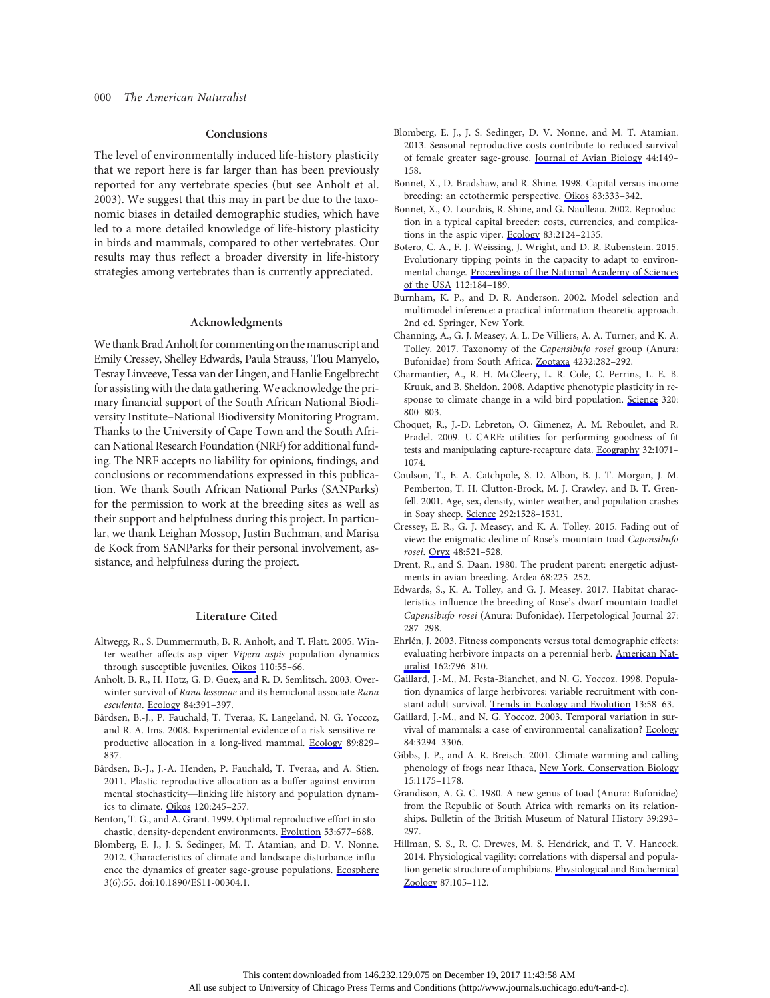#### Conclusions

The level of environmentally induced life-history plasticity that we report here is far larger than has been previously reported for any vertebrate species (but see Anholt et al. 2003). We suggest that this may in part be due to the taxonomic biases in detailed demographic studies, which have led to a more detailed knowledge of life-history plasticity in birds and mammals, compared to other vertebrates. Our results may thus reflect a broader diversity in life-history strategies among vertebrates than is currently appreciated.

#### Acknowledgments

We thank Brad Anholt for commenting on the manuscript and Emily Cressey, Shelley Edwards, Paula Strauss, Tlou Manyelo, Tesray Linveeve, Tessa van der Lingen, and Hanlie Engelbrecht for assisting with the data gathering. We acknowledge the primary financial support of the South African National Biodiversity Institute–National Biodiversity Monitoring Program. Thanks to the University of Cape Town and the South African National Research Foundation (NRF) for additional funding. The NRF accepts no liability for opinions, findings, and conclusions or recommendations expressed in this publication. We thank South African National Parks (SANParks) for the permission to work at the breeding sites as well as their support and helpfulness during this project. In particular, we thank Leighan Mossop, Justin Buchman, and Marisa de Kock from SANParks for their personal involvement, assistance, and helpfulness during the project.

# Literature Cited

- Altwegg, R., S. Dummermuth, B. R. Anholt, and T. Flatt. 2005. Winter weather affects asp viper Vipera aspis population dynamics through susceptible juveniles. [Oikos](http://www.journals.uchicago.edu/action/showLinks?doi=10.1086%2F695315&crossref=10.1111%2Fj.0030-1299.2001.13723.x&citationId=p_1) 110:55–66.
- Anholt, B. R., H. Hotz, G. D. Guex, and R. D. Semlitsch. 2003. Overwinter survival of Rana lessonae and its hemiclonal associate Rana esculenta. [Ecology](http://www.journals.uchicago.edu/action/showLinks?doi=10.1086%2F695315&crossref=10.1890%2F0012-9658%282003%29084%5B0391%3AOSORLA%5D2.0.CO%3B2&citationId=p_2) 84:391–397.
- Bårdsen, B.-J., P. Fauchald, T. Tveraa, K. Langeland, N. G. Yoccoz, and R. A. Ims. 2008. Experimental evidence of a risk-sensitive reproductive allocation in a long-lived mammal. [Ecology](http://www.journals.uchicago.edu/action/showLinks?doi=10.1086%2F695315&pmid=18459345&crossref=10.1890%2F07-0414.1&citationId=p_3) 89:829– 837.
- Bårdsen, B.-J., J.-A. Henden, P. Fauchald, T. Tveraa, and A. Stien. 2011. Plastic reproductive allocation as a buffer against environmental stochasticity—linking life history and population dynamics to climate. [Oikos](http://www.journals.uchicago.edu/action/showLinks?doi=10.1086%2F695315&crossref=10.1111%2Fj.1600-0706.2010.18597.x&citationId=p_5) 120:245–257.
- Benton, T. G., and A. Grant. 1999. Optimal reproductive effort in stochastic, density-dependent environments. [Evolution](http://www.journals.uchicago.edu/action/showLinks?doi=10.1086%2F695315&pmid=28565645&crossref=10.1111%2Fj.1558-5646.1999.tb05363.x&citationId=p_6) 53:677–688.
- Blomberg, E. J., J. S. Sedinger, M. T. Atamian, and D. V. Nonne. 2012. Characteristics of climate and landscape disturbance influence the dynamics of greater sage-grouse populations. [Ecosphere](http://www.journals.uchicago.edu/action/showLinks?doi=10.1086%2F695315&crossref=10.1890%2FES11-00304.1&citationId=p_8) 3(6):55. doi:10.1890/ES11-00304.1.
- Blomberg, E. J., J. S. Sedinger, D. V. Nonne, and M. T. Atamian. 2013. Seasonal reproductive costs contribute to reduced survival of female greater sage-grouse. [Journal of Avian Biology](http://www.journals.uchicago.edu/action/showLinks?doi=10.1086%2F695315&crossref=10.1111%2Fj.1600-048X.2012.00013.x&citationId=p_9) 44:149– 158.
- Bonnet, X., D. Bradshaw, and R. Shine. 1998. Capital versus income breeding: an ectothermic perspective. [Oikos](http://www.journals.uchicago.edu/action/showLinks?doi=10.1086%2F695315&crossref=10.2307%2F3546846&citationId=p_10) 83:333–342.
- Bonnet, X., O. Lourdais, R. Shine, and G. Naulleau. 2002. Reproduction in a typical capital breeder: costs, currencies, and complications in the aspic viper. [Ecology](http://www.journals.uchicago.edu/action/showLinks?doi=10.1086%2F695315&crossref=10.1890%2F0012-9658%282002%29083%5B2124%3ARIATCB%5D2.0.CO%3B2&citationId=p_11) 83:2124–2135.
- Botero, C. A., F. J. Weissing, J. Wright, and D. R. Rubenstein. 2015. Evolutionary tipping points in the capacity to adapt to environmental change. [Proceedings of the National Academy of Sciences](http://www.journals.uchicago.edu/action/showLinks?doi=10.1086%2F695315&pmid=25422451&crossref=10.1073%2Fpnas.1408589111&citationId=p_12) [of the USA](http://www.journals.uchicago.edu/action/showLinks?doi=10.1086%2F695315&pmid=25422451&crossref=10.1073%2Fpnas.1408589111&citationId=p_12) 112:184–189.
- Burnham, K. P., and D. R. Anderson. 2002. Model selection and multimodel inference: a practical information-theoretic approach. 2nd ed. Springer, New York.
- Channing, A., G. J. Measey, A. L. De Villiers, A. A. Turner, and K. A. Tolley. 2017. Taxonomy of the Capensibufo rosei group (Anura: Bufonidae) from South Africa. [Zootaxa](http://www.journals.uchicago.edu/action/showLinks?doi=10.1086%2F695315&crossref=10.11646%2Fzootaxa.4232.2.11&citationId=p_14) 4232:282–292.
- Charmantier, A., R. H. McCleery, L. R. Cole, C. Perrins, L. E. B. Kruuk, and B. Sheldon. 2008. Adaptive phenotypic plasticity in response to climate change in a wild bird population. [Science](http://www.journals.uchicago.edu/action/showLinks?doi=10.1086%2F695315&pmid=18467590&crossref=10.1126%2Fscience.1157174&citationId=p_15) 320: 800–803.
- Choquet, R., J.-D. Lebreton, O. Gimenez, A. M. Reboulet, and R. Pradel. 2009. U-CARE: utilities for performing goodness of fit tests and manipulating capture-recapture data. [Ecography](http://www.journals.uchicago.edu/action/showLinks?doi=10.1086%2F695315&crossref=10.1111%2Fj.1600-0587.2009.05968.x&citationId=p_16) 32:1071– 1074.
- Coulson, T., E. A. Catchpole, S. D. Albon, B. J. T. Morgan, J. M. Pemberton, T. H. Clutton-Brock, M. J. Crawley, and B. T. Grenfell. 2001. Age, sex, density, winter weather, and population crashes in Soay sheep. [Science](http://www.journals.uchicago.edu/action/showLinks?doi=10.1086%2F695315&pmid=11375487&crossref=10.1126%2Fscience.292.5521.1528&citationId=p_17) 292:1528–1531.
- Cressey, E. R., G. J. Measey, and K. A. Tolley. 2015. Fading out of view: the enigmatic decline of Rose's mountain toad Capensibufo rosei. [Oryx](http://www.journals.uchicago.edu/action/showLinks?doi=10.1086%2F695315&crossref=10.1017%2FS0030605313001051&citationId=p_18) 48:521-528.
- Drent, R., and S. Daan. 1980. The prudent parent: energetic adjustments in avian breeding. Ardea 68:225–252.
- Edwards, S., K. A. Tolley, and G. J. Measey. 2017. Habitat characteristics influence the breeding of Rose's dwarf mountain toadlet Capensibufo rosei (Anura: Bufonidae). Herpetological Journal 27: 287–298.
- Ehrlén, J. 2003. Fitness components versus total demographic effects: evaluating herbivore impacts on a perennial herb. [American Nat](http://www.journals.uchicago.edu/action/showLinks?doi=10.1086%2F695315&system=10.1086%2F379350&citationId=p_21)[uralist](http://www.journals.uchicago.edu/action/showLinks?doi=10.1086%2F695315&system=10.1086%2F379350&citationId=p_21) 162:796–810.
- Gaillard, J.-M., M. Festa-Bianchet, and N. G. Yoccoz. 1998. Population dynamics of large herbivores: variable recruitment with constant adult survival. [Trends in Ecology and Evolution](http://www.journals.uchicago.edu/action/showLinks?doi=10.1086%2F695315&pmid=21238201&crossref=10.1016%2FS0169-5347%2897%2901237-8&citationId=p_22) 13:58–63.
- Gaillard, J.-M., and N. G. Yoccoz. 2003. Temporal variation in survival of mammals: a case of environmental canalization? [Ecology](http://www.journals.uchicago.edu/action/showLinks?doi=10.1086%2F695315&crossref=10.1890%2F02-0409&citationId=p_23) 84:3294–3306.
- Gibbs, J. P., and A. R. Breisch. 2001. Climate warming and calling phenology of frogs near Ithaca, [New York. Conservation Biology](http://www.journals.uchicago.edu/action/showLinks?doi=10.1086%2F695315&crossref=10.1046%2Fj.1523-1739.2001.0150041175.x&citationId=p_24) 15:1175–1178.
- Grandison, A. G. C. 1980. A new genus of toad (Anura: Bufonidae) from the Republic of South Africa with remarks on its relationships. Bulletin of the British Museum of Natural History 39:293– 297.
- Hillman, S. S., R. C. Drewes, M. S. Hendrick, and T. V. Hancock. 2014. Physiological vagility: correlations with dispersal and population genetic structure of amphibians. [Physiological and Biochemical](http://www.journals.uchicago.edu/action/showLinks?doi=10.1086%2F695315&system=10.1086%2F671109&citationId=p_27) [Zoology](http://www.journals.uchicago.edu/action/showLinks?doi=10.1086%2F695315&system=10.1086%2F671109&citationId=p_27) 87:105–112.